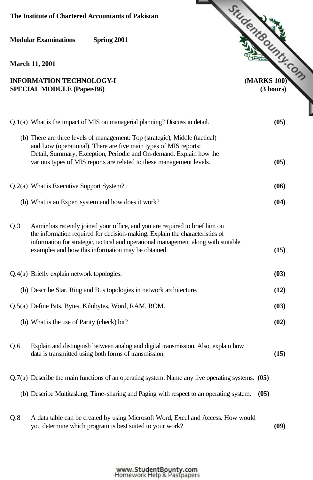**March 11, 2001**

## **SPECIAL MODULE (Paper-B6) (3 hours)**

**INFORMATION TECHNOLOGY-I [\(MARKS 100\)](http://www.studentbounty.com/)** Q.1(a) What is the impact of MIS on managerial planning? Discuss in detail. **(05)** (b) There are three levels of management: Top (strategic), Middle (tactical) Detail, Summary, Exception, Periodic and On-demand. Explain how the various types of MIS reports are related to these management levels. **(05)** Q.2(a) What is Executive Support System? **(06)** (b) What is an Expert system and how does it work? **(04)**

Q.3 Aamir has recently joined your office, and you are required to brief him on the information required for decision-making. Explain the characteristics of information for strategic, tactical and operational management along with suitable examples and how this information may be obtained. **(15)** Q.4(a) Briefly explain network topologies. **(03)**

and Low (operational). There are five main types of MIS reports:

 (b) Describe Star, Ring and Bus topologies in network architecture. **(12)** Q.5(a) Define Bits, Bytes, Kilobytes, Word, RAM, ROM. **(03)** (b) What is the use of Parity (check) bit? **(02)**

- Q.6 Explain and distinguish between analog and digital transmission. Also, explain how data is transmitted using both forms of transmission. **(15)**
- Q.7(a) Describe the main functions of an operating system. Name any five operating systems. **(05)**
	- (b) Describe Multitasking, Time-sharing and Paging with respect to an operating system. **(05)**
- Q.8 A data table can be created by using Microsoft Word, Excel and Access. How would you determine which program is best suited to your work? **(09)**

## www.StudentBounty.com Homework Help & Pastpapers-